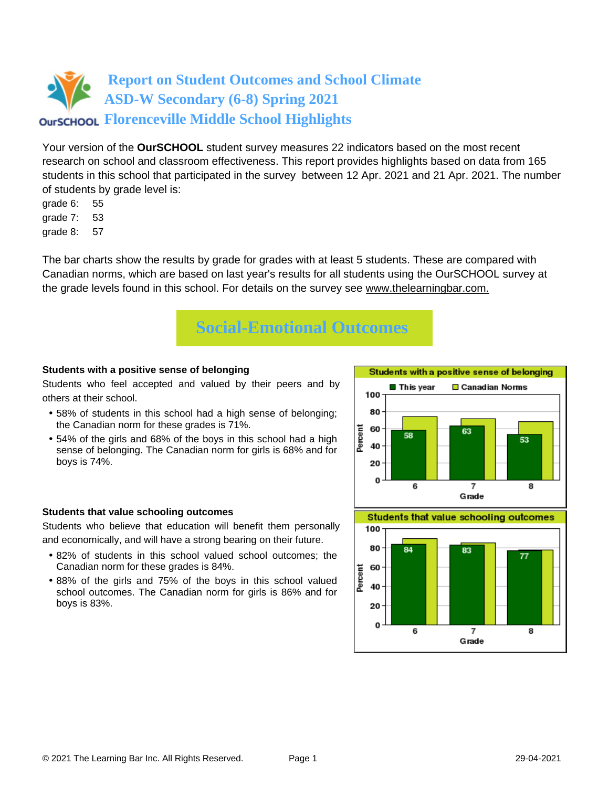Your version of the **OurSCHOOL** student survey measures 22 indicators based on the most recent research on school and classroom effectiveness. This report provides highlights based on data from 165 students in this school that participated in the survey between 12 Apr. 2021 and 21 Apr. 2021. The number of students by grade level is:

- grade 6: 55
- grade 7: 53
- grade 8: 57

The bar charts show the results by grade for grades with at least 5 students. These are compared with Canadian norms, which are based on last year's results for all students using the OurSCHOOL survey at the grade levels found in this school. For details on the survey see [www.thelearningbar.com.](www.thelearningbar.com)



#### **Students with a positive sense of belonging**

Students who feel accepted and valued by their peers and by others at their school.

- 58% of students in this school had a high sense of belonging; the Canadian norm for these grades is 71%.
- 54% of the girls and 68% of the boys in this school had a high sense of belonging. The Canadian norm for girls is 68% and for boys is 74%.



#### **Students that value schooling outcomes**

Students who believe that education will benefit them personally and economically, and will have a strong bearing on their future.

- 82% of students in this school valued school outcomes; the Canadian norm for these grades is 84%.
- 88% of the girls and 75% of the boys in this school valued school outcomes. The Canadian norm for girls is 86% and for boys is 83%.

**Students that value schooling outcomes** 

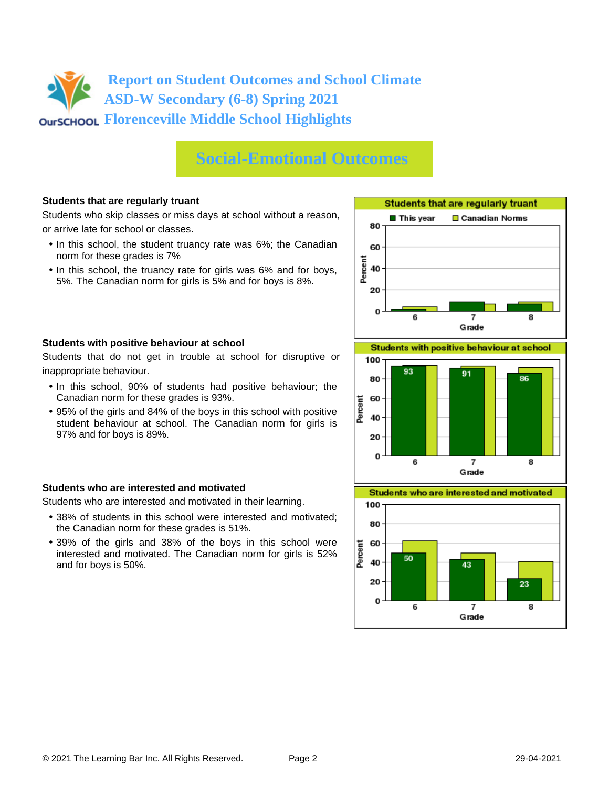## **Social-Emotional Outcomes**

### **Students that are regularly truant**

Students who skip classes or miss days at school without a reason, or arrive late for school or classes.

- In this school, the student truancy rate was 6%; the Canadian norm for these grades is 7%
- In this school, the truancy rate for girls was 6% and for boys, 5%. The Canadian norm for girls is 5% and for boys is 8%.



#### **Students with positive behaviour at school**

Students that do not get in trouble at school for disruptive or inappropriate behaviour.

- In this school, 90% of students had positive behaviour; the Canadian norm for these grades is 93%.
- 95% of the girls and 84% of the boys in this school with positive student behaviour at school. The Canadian norm for girls is 97% and for boys is 89%.

#### **Students who are interested and motivated**

Students who are interested and motivated in their learning.

- 38% of students in this school were interested and motivated; the Canadian norm for these grades is 51%.
- 39% of the girls and 38% of the boys in this school were interested and motivated. The Canadian norm for girls is 52% and for boys is 50%.





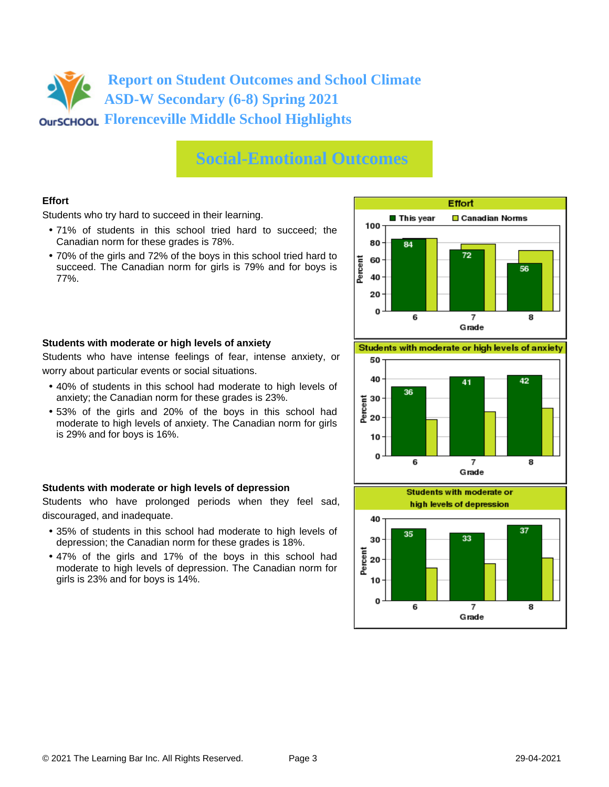### **Social-Emotional Outcomes**

### **Effort**

Students who try hard to succeed in their learning.

- 71% of students in this school tried hard to succeed; the Canadian norm for these grades is 78%.
- 70% of the girls and 72% of the boys in this school tried hard to succeed. The Canadian norm for girls is 79% and for boys is 77%.



#### **Students with moderate or high levels of anxiety**

Students who have intense feelings of fear, intense anxiety, or worry about particular events or social situations.

- 40% of students in this school had moderate to high levels of anxiety; the Canadian norm for these grades is 23%.
- 53% of the girls and 20% of the boys in this school had moderate to high levels of anxiety. The Canadian norm for girls is 29% and for boys is 16%.

### **Students with moderate or high levels of depression**

Students who have prolonged periods when they feel sad, discouraged, and inadequate.

- 35% of students in this school had moderate to high levels of depression; the Canadian norm for these grades is 18%.
- 47% of the girls and 17% of the boys in this school had moderate to high levels of depression. The Canadian norm for girls is 23% and for boys is 14%.

Students with moderate or high levels of anxiety



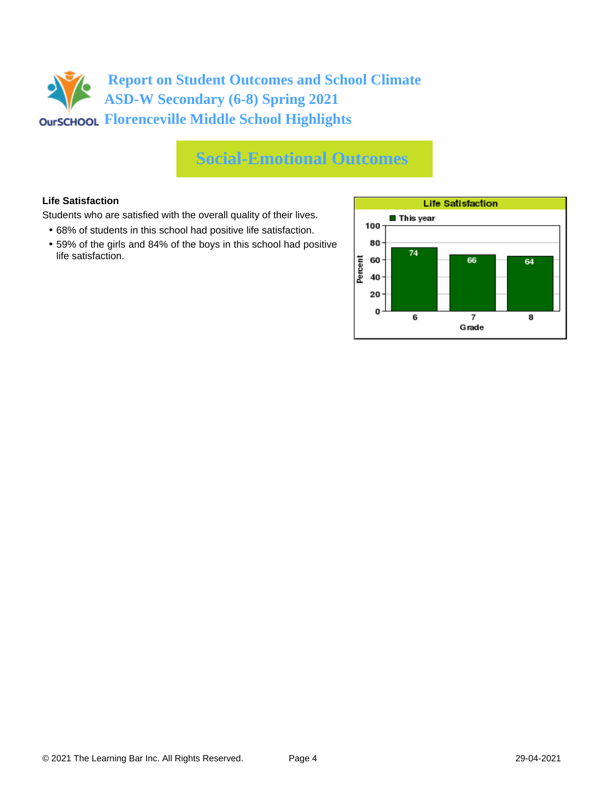## **Social-Emotional Outcomes**

### **Life Satisfaction**

Students who are satisfied with the overall quality of their lives.

- 68% of students in this school had positive life satisfaction.
- 59% of the girls and 84% of the boys in this school had positive life satisfaction.

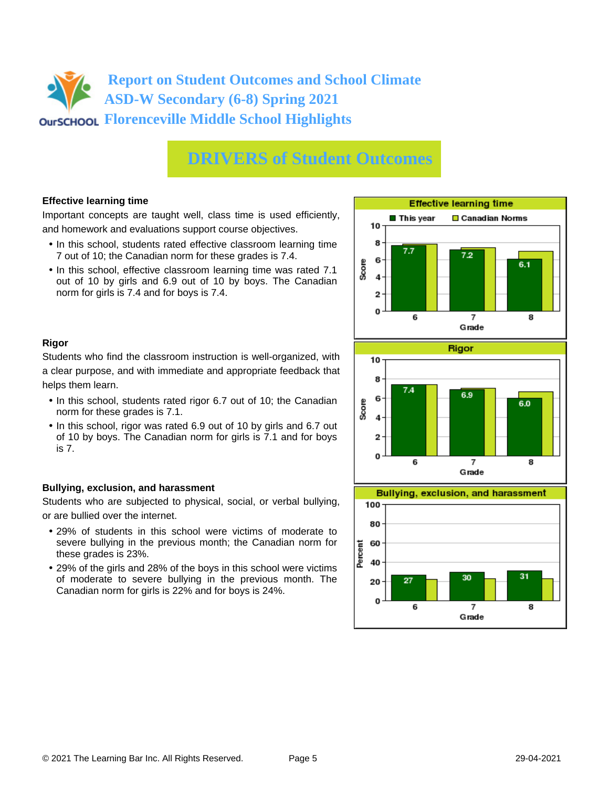## **DRIVERS of Student Outcomes**

### **Effective learning time**

Important concepts are taught well, class time is used efficiently, and homework and evaluations support course objectives.

- In this school, students rated effective classroom learning time 7 out of 10; the Canadian norm for these grades is 7.4.
- In this school, effective classroom learning time was rated 7.1 out of 10 by girls and 6.9 out of 10 by boys. The Canadian norm for girls is 7.4 and for boys is 7.4.



### **Rigor**

Students who find the classroom instruction is well-organized, with a clear purpose, and with immediate and appropriate feedback that helps them learn.

- In this school, students rated rigor 6.7 out of 10; the Canadian norm for these grades is 7.1.
- In this school, rigor was rated 6.9 out of 10 by girls and 6.7 out of 10 by boys. The Canadian norm for girls is 7.1 and for boys is 7.

### **Bullying, exclusion, and harassment**

Students who are subjected to physical, social, or verbal bullying, or are bullied over the internet.

- 29% of students in this school were victims of moderate to severe bullying in the previous month; the Canadian norm for these grades is 23%.
- 29% of the girls and 28% of the boys in this school were victims of moderate to severe bullying in the previous month. The Canadian norm for girls is 22% and for boys is 24%.



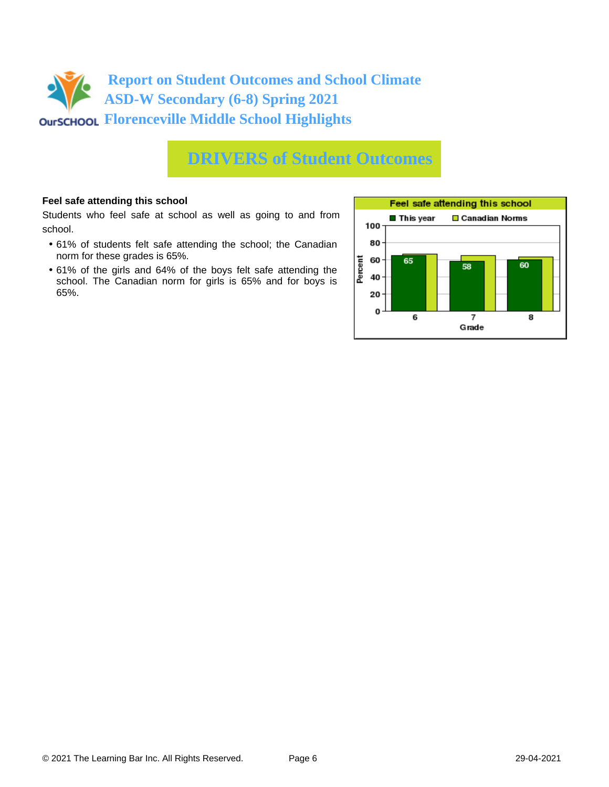

### **DRIVERS of Student Outcomes**

#### **Feel safe attending this school**

Students who feel safe at school as well as going to and from school.

- 61% of students felt safe attending the school; the Canadian norm for these grades is 65%.
- 61% of the girls and 64% of the boys felt safe attending the school. The Canadian norm for girls is 65% and for boys is 65%.

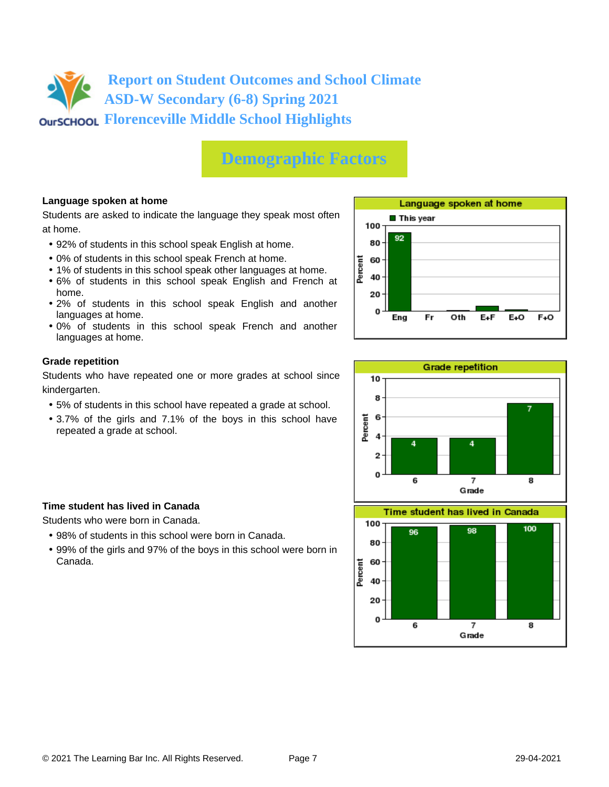# **Demographic Factors**

### **Language spoken at home**

Students are asked to indicate the language they speak most often at home.

- 92% of students in this school speak English at home.
- 0% of students in this school speak French at home.
- 1% of students in this school speak other languages at home.
- 6% of students in this school speak English and French at home.
- 2% of students in this school speak English and another languages at home.
- 0% of students in this school speak French and another languages at home.

#### **Grade repetition**

Students who have repeated one or more grades at school since kindergarten.

- 5% of students in this school have repeated a grade at school.
- 3.7% of the girls and 7.1% of the boys in this school have repeated a grade at school.



Students who were born in Canada.

- 98% of students in this school were born in Canada.
- 99% of the girls and 97% of the boys in this school were born in Canada.







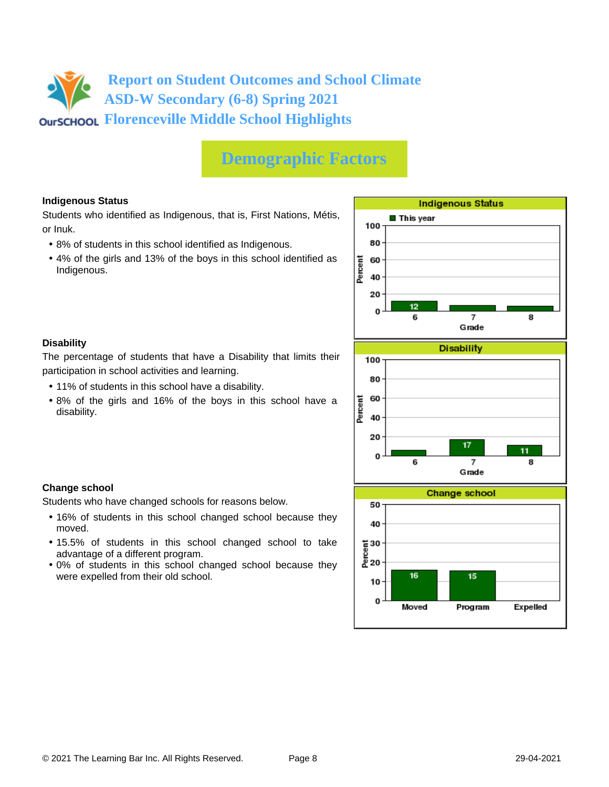## **Demographic Factors**

### **Indigenous Status**

Students who identified as Indigenous, that is, First Nations, Métis, or Inuk.

- 8% of students in this school identified as Indigenous.
- 4% of the girls and 13% of the boys in this school identified as Indigenous.



### **Disability**

**Change school**

moved.

The percentage of students that have a Disability that limits their participation in school activities and learning.

• 11% of students in this school have a disability.

Students who have changed schools for reasons below.

advantage of a different program.

were expelled from their old school.

• 8% of the girls and 16% of the boys in this school have a disability.

• 16% of students in this school changed school because they

• 15.5% of students in this school changed school to take

• 0% of students in this school changed school because they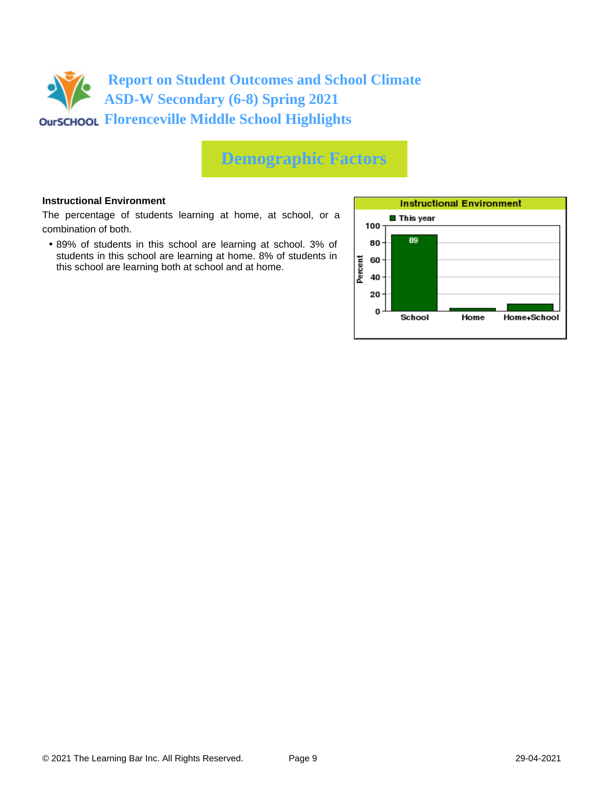

## **Demographic Factors**

#### **Instructional Environment**

The percentage of students learning at home, at school, or a combination of both.

• 89% of students in this school are learning at school. 3% of students in this school are learning at home. 8% of students in this school are learning both at school and at home.

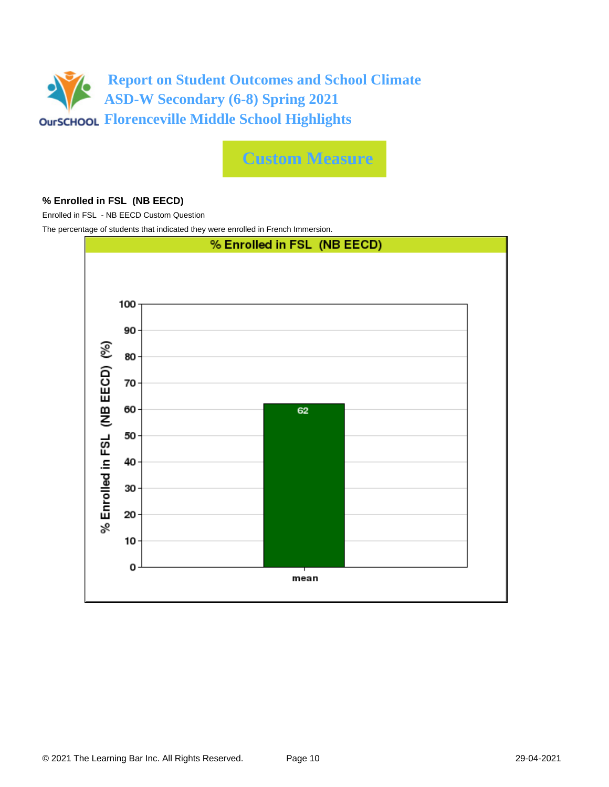

**Custom Measure**

### **% Enrolled in FSL (NB EECD)**

Enrolled in FSL - NB EECD Custom Question

The percentage of students that indicated they were enrolled in French Immersion.

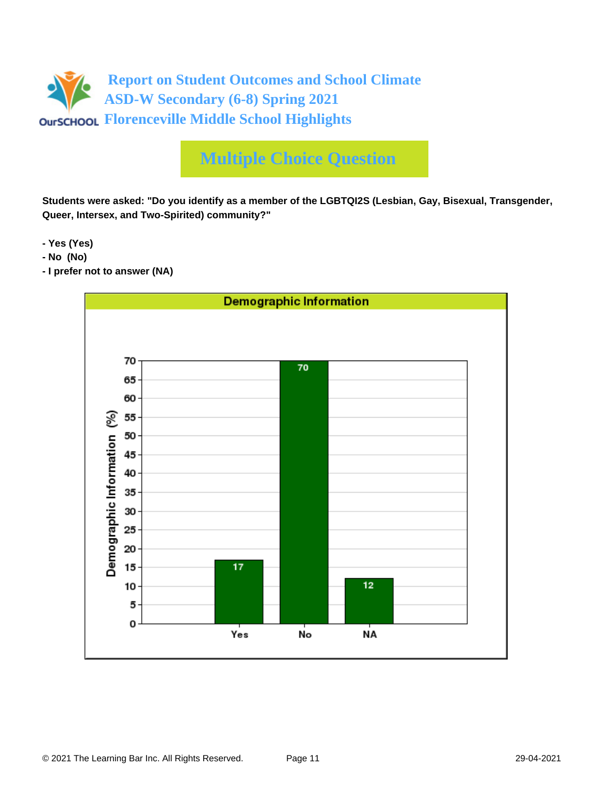

# **Multiple Choice Question**

**Students were asked: "Do you identify as a member of the LGBTQI2S (Lesbian, Gay, Bisexual, Transgender, Queer, Intersex, and Two-Spirited) community?"**

**- Yes (Yes)**

- **No (No)**
- **I prefer not to answer (NA)**

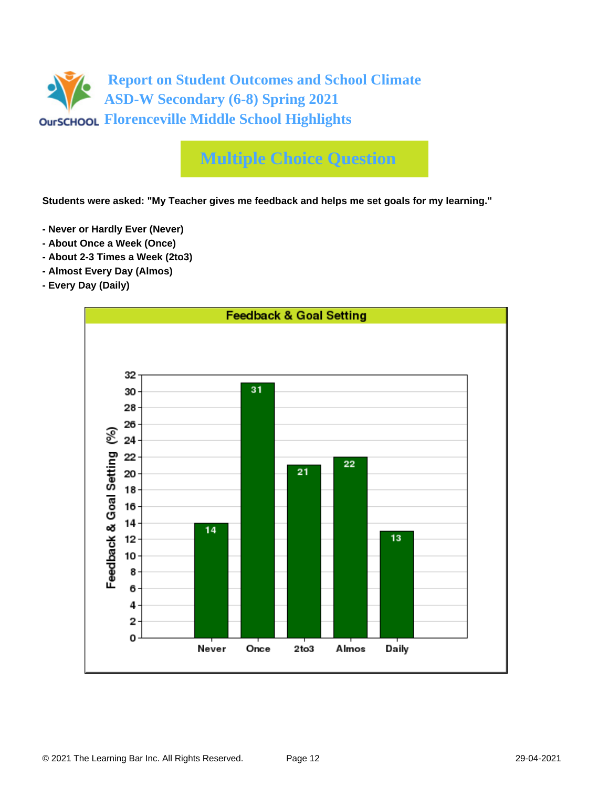

# **Multiple Choice Question**

**Students were asked: "My Teacher gives me feedback and helps me set goals for my learning."**

- **Never or Hardly Ever (Never)**
- **About Once a Week (Once)**
- **About 2-3 Times a Week (2to3)**
- **Almost Every Day (Almos)**
- **Every Day (Daily)**